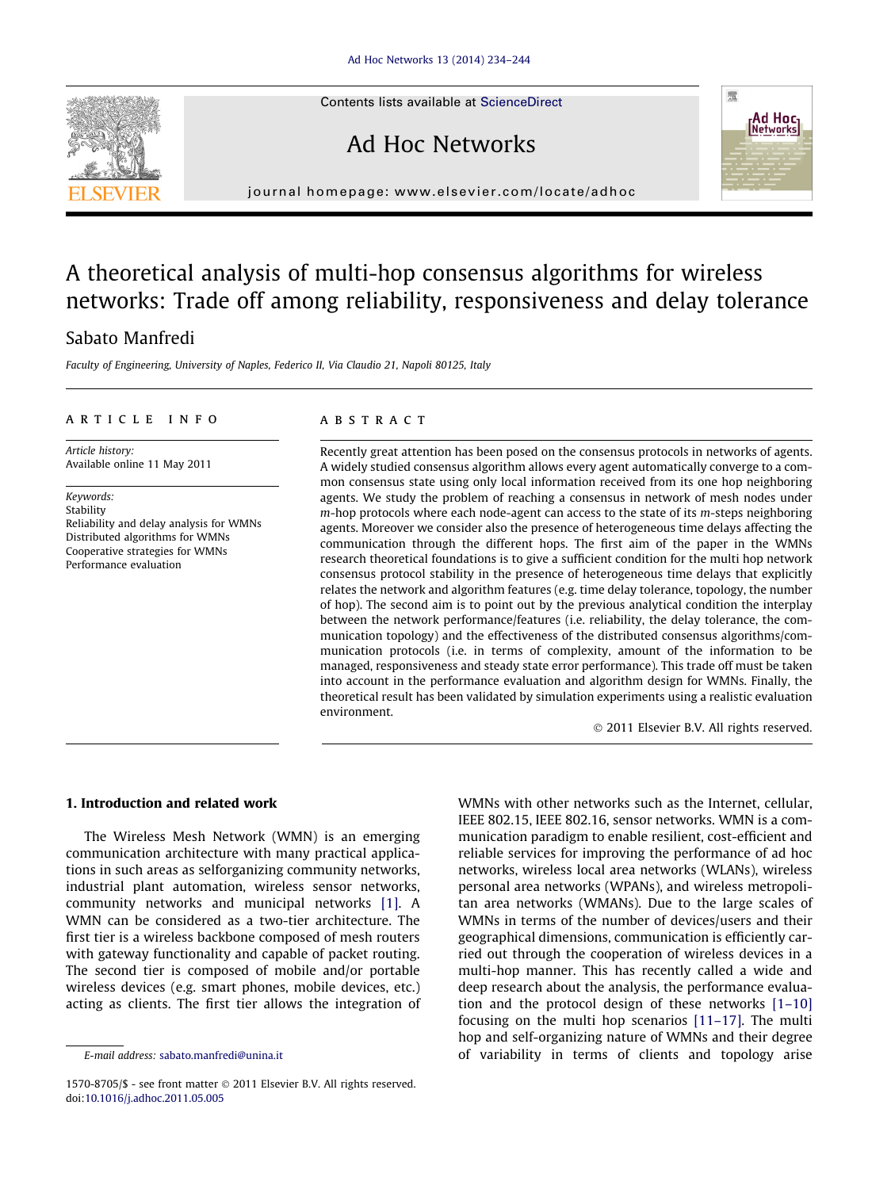Contents lists available at [ScienceDirect](http://www.sciencedirect.com/science/journal/15708705)

## Ad Hoc Networks

journal homepage: [www.elsevier.com/locate/adhoc](http://www.elsevier.com/locate/adhoc)

### A theoretical analysis of multi-hop consensus algorithms for wireless networks: Trade off among reliability, responsiveness and delay tolerance

### Sabato Manfredi

Faculty of Engineering, University of Naples, Federico II, Via Claudio 21, Napoli 80125, Italy

#### article info

Article history: Available online 11 May 2011

Keywords: Stability Reliability and delay analysis for WMNs Distributed algorithms for WMNs Cooperative strategies for WMNs Performance evaluation

#### **ABSTRACT**

Recently great attention has been posed on the consensus protocols in networks of agents. A widely studied consensus algorithm allows every agent automatically converge to a common consensus state using only local information received from its one hop neighboring agents. We study the problem of reaching a consensus in network of mesh nodes under  $m$ -hop protocols where each node-agent can access to the state of its  $m$ -steps neighboring agents. Moreover we consider also the presence of heterogeneous time delays affecting the communication through the different hops. The first aim of the paper in the WMNs research theoretical foundations is to give a sufficient condition for the multi hop network consensus protocol stability in the presence of heterogeneous time delays that explicitly relates the network and algorithm features (e.g. time delay tolerance, topology, the number of hop). The second aim is to point out by the previous analytical condition the interplay between the network performance/features (i.e. reliability, the delay tolerance, the communication topology) and the effectiveness of the distributed consensus algorithms/communication protocols (i.e. in terms of complexity, amount of the information to be managed, responsiveness and steady state error performance). This trade off must be taken into account in the performance evaluation and algorithm design for WMNs. Finally, the theoretical result has been validated by simulation experiments using a realistic evaluation environment.

- 2011 Elsevier B.V. All rights reserved.

#### 1. Introduction and related work

The Wireless Mesh Network (WMN) is an emerging communication architecture with many practical applications in such areas as selforganizing community networks, industrial plant automation, wireless sensor networks, community networks and municipal networks [\[1\].](#page--1-0) A WMN can be considered as a two-tier architecture. The first tier is a wireless backbone composed of mesh routers with gateway functionality and capable of packet routing. The second tier is composed of mobile and/or portable wireless devices (e.g. smart phones, mobile devices, etc.) acting as clients. The first tier allows the integration of WMNs with other networks such as the Internet, cellular, IEEE 802.15, IEEE 802.16, sensor networks. WMN is a communication paradigm to enable resilient, cost-efficient and reliable services for improving the performance of ad hoc networks, wireless local area networks (WLANs), wireless personal area networks (WPANs), and wireless metropolitan area networks (WMANs). Due to the large scales of WMNs in terms of the number of devices/users and their geographical dimensions, communication is efficiently carried out through the cooperation of wireless devices in a multi-hop manner. This has recently called a wide and deep research about the analysis, the performance evaluation and the protocol design of these networks [\[1–10\]](#page--1-0) focusing on the multi hop scenarios [\[11–17\]](#page--1-0). The multi hop and self-organizing nature of WMNs and their degree of variability in terms of clients and topology arise





E-mail address: [sabato.manfredi@unina.it](mailto:sabato.manfredi@unina.it)

 $1570-8705/\$  - see front matter  $\odot$  2011 Elsevier B.V. All rights reserved. doi[:10.1016/j.adhoc.2011.05.005](http://dx.doi.org/10.1016/j.adhoc.2011.05.005)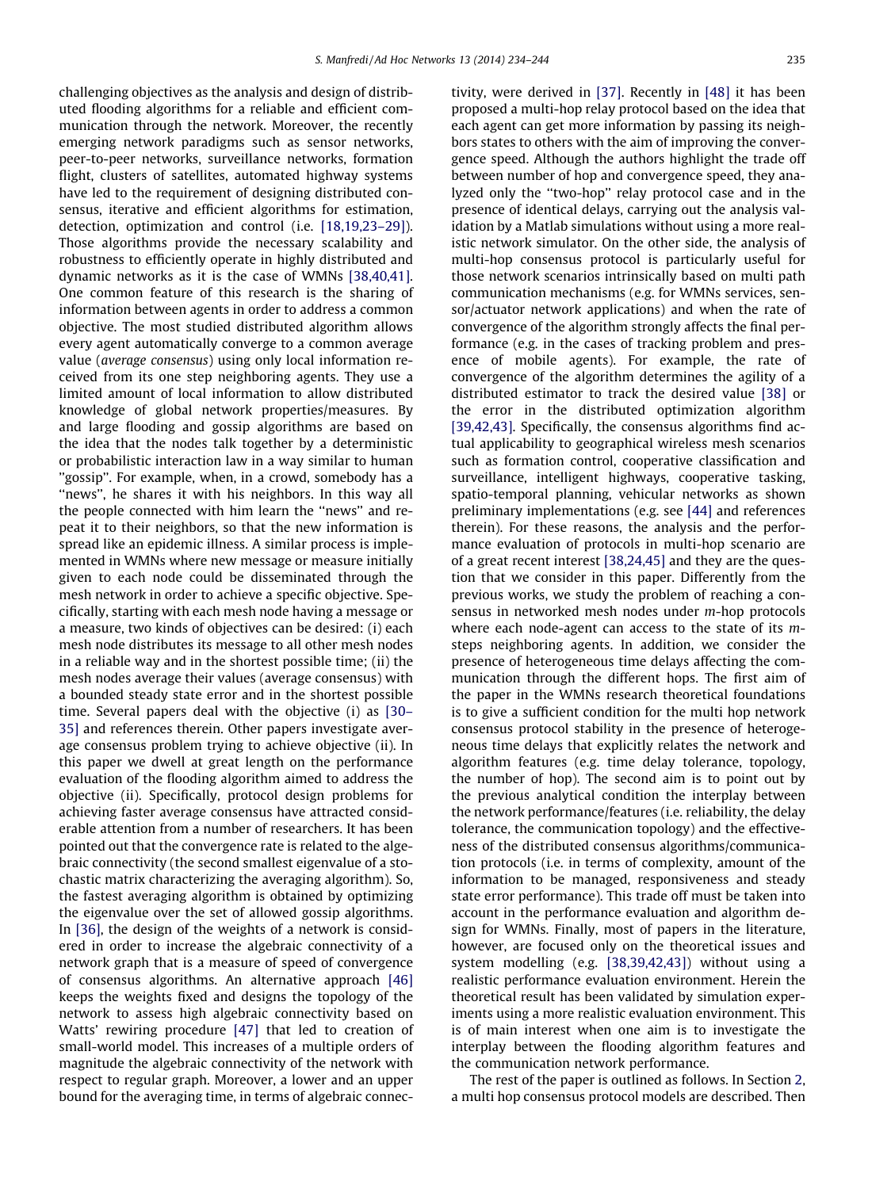challenging objectives as the analysis and design of distributed flooding algorithms for a reliable and efficient communication through the network. Moreover, the recently emerging network paradigms such as sensor networks, peer-to-peer networks, surveillance networks, formation flight, clusters of satellites, automated highway systems have led to the requirement of designing distributed consensus, iterative and efficient algorithms for estimation, detection, optimization and control (i.e. [\[18,19,23–29\]](#page--1-0)). Those algorithms provide the necessary scalability and robustness to efficiently operate in highly distributed and dynamic networks as it is the case of WMNs [\[38,40,41\]](#page--1-0). One common feature of this research is the sharing of information between agents in order to address a common objective. The most studied distributed algorithm allows every agent automatically converge to a common average value (average consensus) using only local information received from its one step neighboring agents. They use a limited amount of local information to allow distributed knowledge of global network properties/measures. By and large flooding and gossip algorithms are based on the idea that the nodes talk together by a deterministic or probabilistic interaction law in a way similar to human "gossip". For example, when, in a crowd, somebody has a "news", he shares it with his neighbors. In this way all the people connected with him learn the ''news'' and repeat it to their neighbors, so that the new information is spread like an epidemic illness. A similar process is implemented in WMNs where new message or measure initially given to each node could be disseminated through the mesh network in order to achieve a specific objective. Specifically, starting with each mesh node having a message or a measure, two kinds of objectives can be desired: (i) each mesh node distributes its message to all other mesh nodes in a reliable way and in the shortest possible time; (ii) the mesh nodes average their values (average consensus) with a bounded steady state error and in the shortest possible time. Several papers deal with the objective (i) as [\[30–](#page--1-0) [35\]](#page--1-0) and references therein. Other papers investigate average consensus problem trying to achieve objective (ii). In this paper we dwell at great length on the performance evaluation of the flooding algorithm aimed to address the objective (ii). Specifically, protocol design problems for achieving faster average consensus have attracted considerable attention from a number of researchers. It has been pointed out that the convergence rate is related to the algebraic connectivity (the second smallest eigenvalue of a stochastic matrix characterizing the averaging algorithm). So, the fastest averaging algorithm is obtained by optimizing the eigenvalue over the set of allowed gossip algorithms. In [\[36\],](#page--1-0) the design of the weights of a network is considered in order to increase the algebraic connectivity of a network graph that is a measure of speed of convergence of consensus algorithms. An alternative approach [\[46\]](#page--1-0) keeps the weights fixed and designs the topology of the network to assess high algebraic connectivity based on Watts' rewiring procedure [\[47\]](#page--1-0) that led to creation of small-world model. This increases of a multiple orders of magnitude the algebraic connectivity of the network with respect to regular graph. Moreover, a lower and an upper bound for the averaging time, in terms of algebraic connectivity, were derived in [\[37\]](#page--1-0). Recently in [\[48\]](#page--1-0) it has been proposed a multi-hop relay protocol based on the idea that each agent can get more information by passing its neighbors states to others with the aim of improving the convergence speed. Although the authors highlight the trade off between number of hop and convergence speed, they analyzed only the ''two-hop'' relay protocol case and in the presence of identical delays, carrying out the analysis validation by a Matlab simulations without using a more realistic network simulator. On the other side, the analysis of multi-hop consensus protocol is particularly useful for those network scenarios intrinsically based on multi path communication mechanisms (e.g. for WMNs services, sensor/actuator network applications) and when the rate of convergence of the algorithm strongly affects the final performance (e.g. in the cases of tracking problem and presence of mobile agents). For example, the rate of convergence of the algorithm determines the agility of a distributed estimator to track the desired value [\[38\]](#page--1-0) or the error in the distributed optimization algorithm [\[39,42,43\]](#page--1-0). Specifically, the consensus algorithms find actual applicability to geographical wireless mesh scenarios such as formation control, cooperative classification and surveillance, intelligent highways, cooperative tasking, spatio-temporal planning, vehicular networks as shown preliminary implementations (e.g. see [\[44\]](#page--1-0) and references therein). For these reasons, the analysis and the performance evaluation of protocols in multi-hop scenario are of a great recent interest [\[38,24,45\]](#page--1-0) and they are the question that we consider in this paper. Differently from the previous works, we study the problem of reaching a consensus in networked mesh nodes under m-hop protocols where each node-agent can access to the state of its msteps neighboring agents. In addition, we consider the presence of heterogeneous time delays affecting the communication through the different hops. The first aim of the paper in the WMNs research theoretical foundations is to give a sufficient condition for the multi hop network consensus protocol stability in the presence of heterogeneous time delays that explicitly relates the network and algorithm features (e.g. time delay tolerance, topology, the number of hop). The second aim is to point out by the previous analytical condition the interplay between the network performance/features (i.e. reliability, the delay tolerance, the communication topology) and the effectiveness of the distributed consensus algorithms/communication protocols (i.e. in terms of complexity, amount of the information to be managed, responsiveness and steady state error performance). This trade off must be taken into account in the performance evaluation and algorithm design for WMNs. Finally, most of papers in the literature, however, are focused only on the theoretical issues and system modelling (e.g. [\[38,39,42,43\]\)](#page--1-0) without using a realistic performance evaluation environment. Herein the theoretical result has been validated by simulation experiments using a more realistic evaluation environment. This is of main interest when one aim is to investigate the interplay between the flooding algorithm features and the communication network performance.

The rest of the paper is outlined as follows. In Section 2, a multi hop consensus protocol models are described. Then